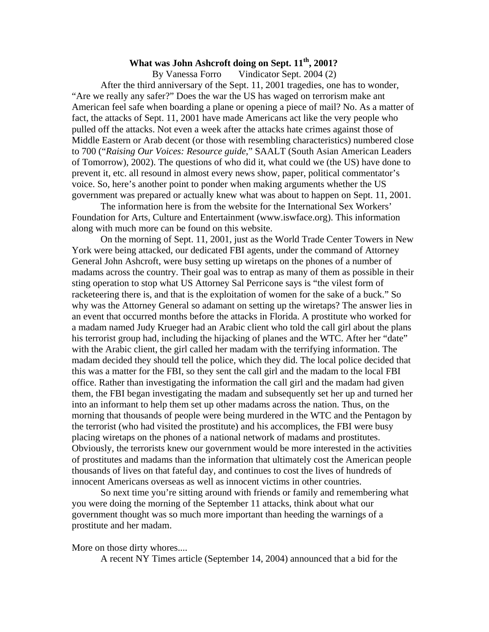## **What was John Ashcroft doing on Sept. 11th, 2001?**

By Vanessa Forro Vindicator Sept. 2004 (2) After the third anniversary of the Sept. 11, 2001 tragedies, one has to wonder, "Are we really any safer?" Does the war the US has waged on terrorism make ant American feel safe when boarding a plane or opening a piece of mail? No. As a matter of fact, the attacks of Sept. 11, 2001 have made Americans act like the very people who pulled off the attacks. Not even a week after the attacks hate crimes against those of Middle Eastern or Arab decent (or those with resembling characteristics) numbered close to 700 ("*Raising Our Voices: Resource guide*," SAALT (South Asian American Leaders of Tomorrow), 2002). The questions of who did it, what could we (the US) have done to prevent it, etc. all resound in almost every news show, paper, political commentator's voice. So, here's another point to ponder when making arguments whether the US government was prepared or actually knew what was about to happen on Sept. 11, 2001.

 The information here is from the website for the International Sex Workers' Foundation for Arts, Culture and Entertainment (www.iswface.org). This information along with much more can be found on this website.

 On the morning of Sept. 11, 2001, just as the World Trade Center Towers in New York were being attacked, our dedicated FBI agents, under the command of Attorney General John Ashcroft, were busy setting up wiretaps on the phones of a number of madams across the country. Their goal was to entrap as many of them as possible in their sting operation to stop what US Attorney Sal Perricone says is "the vilest form of racketeering there is, and that is the exploitation of women for the sake of a buck." So why was the Attorney General so adamant on setting up the wiretaps? The answer lies in an event that occurred months before the attacks in Florida. A prostitute who worked for a madam named Judy Krueger had an Arabic client who told the call girl about the plans his terrorist group had, including the hijacking of planes and the WTC. After her "date" with the Arabic client, the girl called her madam with the terrifying information. The madam decided they should tell the police, which they did. The local police decided that this was a matter for the FBI, so they sent the call girl and the madam to the local FBI office. Rather than investigating the information the call girl and the madam had given them, the FBI began investigating the madam and subsequently set her up and turned her into an informant to help them set up other madams across the nation. Thus, on the morning that thousands of people were being murdered in the WTC and the Pentagon by the terrorist (who had visited the prostitute) and his accomplices, the FBI were busy placing wiretaps on the phones of a national network of madams and prostitutes. Obviously, the terrorists knew our government would be more interested in the activities of prostitutes and madams than the information that ultimately cost the American people thousands of lives on that fateful day, and continues to cost the lives of hundreds of innocent Americans overseas as well as innocent victims in other countries.

 So next time you're sitting around with friends or family and remembering what you were doing the morning of the September 11 attacks, think about what our government thought was so much more important than heeding the warnings of a prostitute and her madam.

More on those dirty whores....

A recent NY Times article (September 14, 2004) announced that a bid for the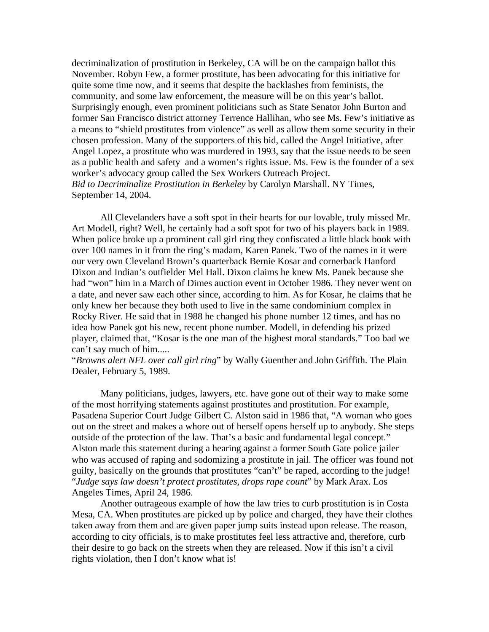decriminalization of prostitution in Berkeley, CA will be on the campaign ballot this November. Robyn Few, a former prostitute, has been advocating for this initiative for quite some time now, and it seems that despite the backlashes from feminists, the community, and some law enforcement, the measure will be on this year's ballot. Surprisingly enough, even prominent politicians such as State Senator John Burton and former San Francisco district attorney Terrence Hallihan, who see Ms. Few's initiative as a means to "shield prostitutes from violence" as well as allow them some security in their chosen profession. Many of the supporters of this bid, called the Angel Initiative, after Angel Lopez, a prostitute who was murdered in 1993, say that the issue needs to be seen as a public health and safety and a women's rights issue. Ms. Few is the founder of a sex worker's advocacy group called the Sex Workers Outreach Project. *Bid to Decriminalize Prostitution in Berkeley* by Carolyn Marshall. NY Times, September 14, 2004.

 All Clevelanders have a soft spot in their hearts for our lovable, truly missed Mr. Art Modell, right? Well, he certainly had a soft spot for two of his players back in 1989. When police broke up a prominent call girl ring they confiscated a little black book with over 100 names in it from the ring's madam, Karen Panek. Two of the names in it were our very own Cleveland Brown's quarterback Bernie Kosar and cornerback Hanford Dixon and Indian's outfielder Mel Hall. Dixon claims he knew Ms. Panek because she had "won" him in a March of Dimes auction event in October 1986. They never went on a date, and never saw each other since, according to him. As for Kosar, he claims that he only knew her because they both used to live in the same condominium complex in Rocky River. He said that in 1988 he changed his phone number 12 times, and has no idea how Panek got his new, recent phone number. Modell, in defending his prized player, claimed that, "Kosar is the one man of the highest moral standards." Too bad we can't say much of him.....

"*Browns alert NFL over call girl ring*" by Wally Guenther and John Griffith. The Plain Dealer, February 5, 1989.

 Many politicians, judges, lawyers, etc. have gone out of their way to make some of the most horrifying statements against prostitutes and prostitution. For example, Pasadena Superior Court Judge Gilbert C. Alston said in 1986 that, "A woman who goes out on the street and makes a whore out of herself opens herself up to anybody. She steps outside of the protection of the law. That's a basic and fundamental legal concept." Alston made this statement during a hearing against a former South Gate police jailer who was accused of raping and sodomizing a prostitute in jail. The officer was found not guilty, basically on the grounds that prostitutes "can't" be raped, according to the judge! "*Judge says law doesn't protect prostitutes, drops rape count*" by Mark Arax. Los Angeles Times, April 24, 1986.

 Another outrageous example of how the law tries to curb prostitution is in Costa Mesa, CA. When prostitutes are picked up by police and charged, they have their clothes taken away from them and are given paper jump suits instead upon release. The reason, according to city officials, is to make prostitutes feel less attractive and, therefore, curb their desire to go back on the streets when they are released. Now if this isn't a civil rights violation, then I don't know what is!